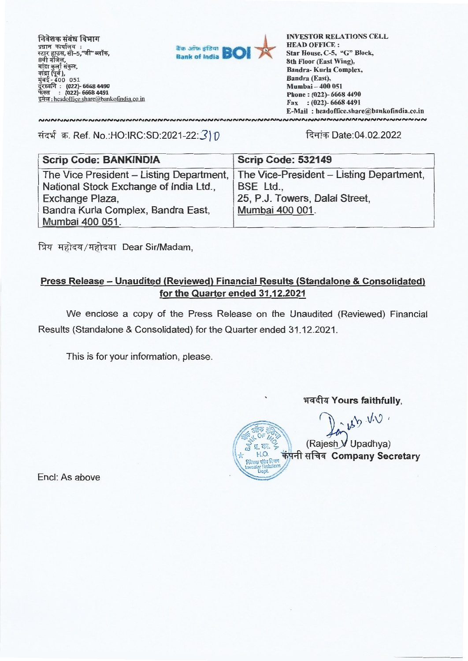निवेशक संबंध विभाग<br><sup>प्रधान</sup> कार्यालय**ः** : त्रवान कायालय<br>स्टार हाउस, सी–5,"जी" ब्लॉक,<br>8वी मंजिल, बांद्रा कुर्ला 400 051 **: (022)- 6668 4490 (022)- 6668 4492**  इमेल: headoffice.share@bankofindia.co.in



**LNVESTOR RELATIONS CELL HEAD OFFICE : Star House, C-5, "G" Block, 8th Floor (East Wing), Bandra- Kuria Complex, Bandra (East), Mumbai — 400 051 Phone : (022)- 6668 4490 Fax : (022)- 6668 4491 E-Mail : headoffice.share@bankofindia.coin**  

संदर्भ क्र. Ref. No.:HO:IRC:SD:2021-22:3) 0 दिनांक Date:04.02.2022

NNNNNNNNNNNNNNNNNNNNNNNNNNN

| <b>Scrip Code: BANKINDIA</b>                                                      | <b>Scrip Code: 532149</b>      |
|-----------------------------------------------------------------------------------|--------------------------------|
| The Vice President – Listing Department, The Vice-President – Listing Department, |                                |
| National Stock Exchange of India Ltd.,                                            | BSE Ltd.,                      |
| Exchange Plaza,                                                                   | 25, P.J. Towers, Dalal Street, |
| Bandra Kurla Complex, Bandra East,                                                | Mumbai 400 001.                |
| Mumbai 400 051.                                                                   |                                |

प्रिय महोदय/महोदया Dear Sir/Madam,

# **Press Release — Unaudited (Reviewed) Financial Results (Standalone & Consolidated) for the Quarter ended 31.12.2021**

We enclose a copy of the Press Release on the Unaudited (Reviewed) Financial Results (Standalone & Consolidated) for the Quarter ended 31.12.2021.

This is for your information, please.

**Irdalt Yours faithfully,** 

in U.V. (Rajesh  $V$  Upadhya)  $\pi$ .  $\overline{\Phi}$ . <sup>71</sup>, HD 441'n tl Ri Company **Secretary निवेशक संबंध विभाग<br>Investor Relations<br>Dept.** 

Encl: As above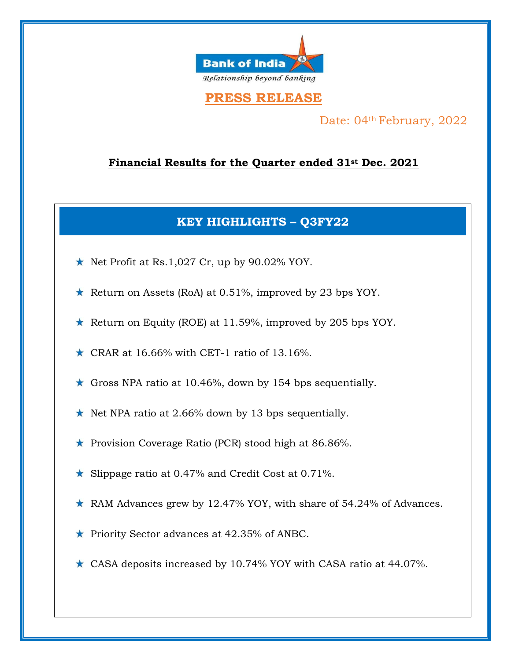

# **PRESS RELEASE**

Date: 04<sup>th</sup> February, 2022

# **Financial Results for the Quarter ended 31st Dec. 2021**

# **KEY HIGHLIGHTS – Q3FY22**

- $\star$  Net Profit at Rs.1,027 Cr, up by 90.02% YOY.
- \* Return on Assets (RoA) at 0.51%, improved by 23 bps YOY.
- \* Return on Equity (ROE) at 11.59%, improved by 205 bps YOY.
- $\star$  CRAR at 16.66% with CET-1 ratio of 13.16%.
- $\star$  Gross NPA ratio at 10.46%, down by 154 bps sequentially.
- $\star$  Net NPA ratio at 2.66% down by 13 bps sequentially.
- \* Provision Coverage Ratio (PCR) stood high at 86.86%.
- \* Slippage ratio at 0.47% and Credit Cost at 0.71%.
- $\star$  RAM Advances grew by 12.47% YOY, with share of 54.24% of Advances.
- \* Priority Sector advances at 42.35% of ANBC.
- $\star$  CASA deposits increased by 10.74% YOY with CASA ratio at 44.07%.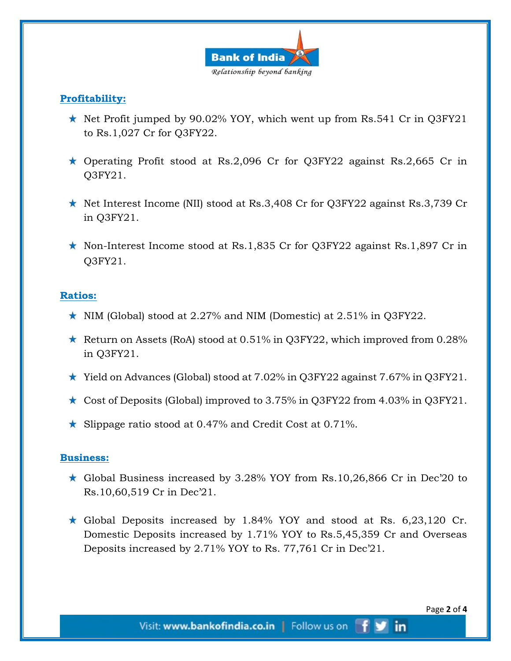

## **Profitability:**

- $\star$  Net Profit jumped by 90.02% YOY, which went up from Rs.541 Cr in Q3FY21 to Rs.1,027 Cr for Q3FY22.
- $\star$  Operating Profit stood at Rs.2,096 Cr for Q3FY22 against Rs.2,665 Cr in Q3FY21.
- $\star$  Net Interest Income (NII) stood at Rs.3,408 Cr for Q3FY22 against Rs.3,739 Cr in Q3FY21.
- Non-Interest Income stood at Rs.1,835 Cr for Q3FY22 against Rs.1,897 Cr in Q3FY21.

#### **Ratios:**

- $\star$  NIM (Global) stood at 2.27% and NIM (Domestic) at 2.51% in Q3FY22.
- Return on Assets (RoA) stood at  $0.51\%$  in Q3FY22, which improved from  $0.28\%$ in Q3FY21.
- $\star$  Yield on Advances (Global) stood at 7.02% in Q3FY22 against 7.67% in Q3FY21.
- $\star$  Cost of Deposits (Global) improved to 3.75% in Q3FY22 from 4.03% in Q3FY21.
- Slippage ratio stood at 0.47% and Credit Cost at 0.71%.

#### **Business:**

- $\star$  Global Business increased by 3.28% YOY from Rs.10,26,866 Cr in Dec'20 to Rs.10,60,519 Cr in Dec'21.
- $\star$  Global Deposits increased by 1.84% YOY and stood at Rs. 6,23,120 Cr. Domestic Deposits increased by 1.71% YOY to Rs.5,45,359 Cr and Overseas Deposits increased by 2.71% YOY to Rs. 77,761 Cr in Dec'21.

**in**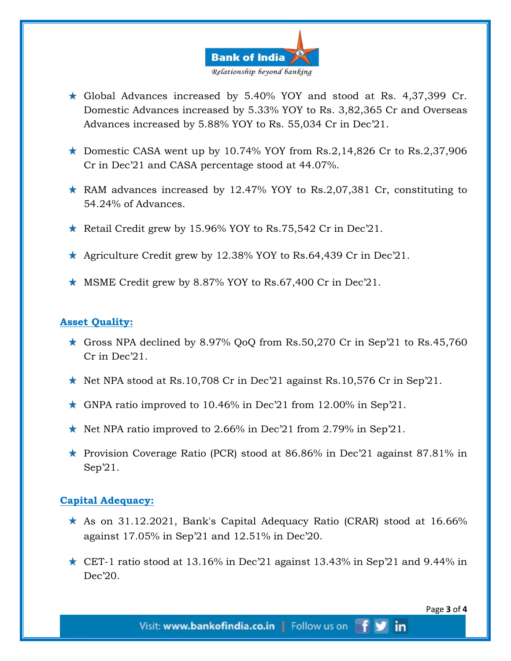![](_page_3_Picture_0.jpeg)

- Global Advances increased by 5.40% YOY and stood at Rs. 4,37,399 Cr. Domestic Advances increased by 5.33% YOY to Rs. 3,82,365 Cr and Overseas Advances increased by 5.88% YOY to Rs. 55,034 Cr in Dec'21.
- $\star$  Domestic CASA went up by 10.74% YOY from Rs.2,14,826 Cr to Rs.2,37,906 Cr in Dec'21 and CASA percentage stood at 44.07%.
- $\star$  RAM advances increased by 12.47% YOY to Rs.2,07,381 Cr, constituting to 54.24% of Advances.
- Retail Credit grew by 15.96% YOY to Rs.75,542 Cr in Dec'21.
- Agriculture Credit grew by 12.38% YOY to Rs.64,439 Cr in Dec'21.
- $\star$  MSME Credit grew by 8.87% YOY to Rs.67,400 Cr in Dec'21.

### **Asset Quality:**

- $\star$  Gross NPA declined by 8.97% QoQ from Rs.50,270 Cr in Sep'21 to Rs.45,760 Cr in Dec'21.
- $\star$  Net NPA stood at Rs.10,708 Cr in Dec'21 against Rs.10,576 Cr in Sep'21.
- $\star$  GNPA ratio improved to 10.46% in Dec'21 from 12.00% in Sep'21.
- $\star$  Net NPA ratio improved to 2.66% in Dec'21 from 2.79% in Sep'21.
- **\*** Provision Coverage Ratio (PCR) stood at 86.86% in Dec'21 against 87.81% in Sep'21.

#### **Capital Adequacy:**

- $\star$  As on 31.12.2021, Bank's Capital Adequacy Ratio (CRAR) stood at 16.66% against 17.05% in Sep'21 and 12.51% in Dec'20.
- $\star$  CET-1 ratio stood at 13.16% in Dec'21 against 13.43% in Sep'21 and 9.44% in Dec'20.

**in**